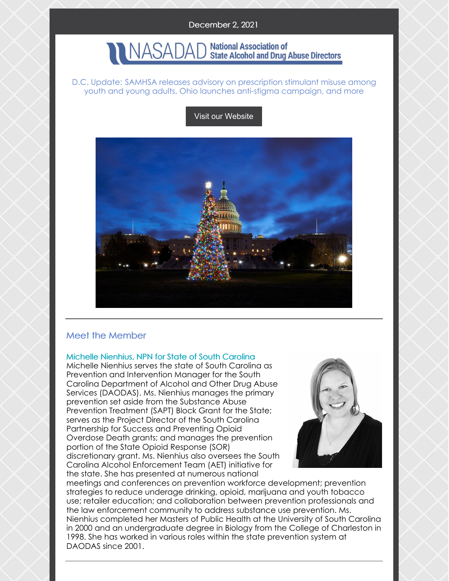### December 2, 2021

#### **National Association of** JASADAI **State Alcohol and Drug Abuse Directors**

#### D.C. Update: SAMHSA releases advisory on prescription stimulant misuse among youth and young adults, Ohio launches anti-stigma campaign, and more

Visit our [Website](http://www.nasadad.org)



## Meet the Member

Michelle Nienhius, NPN for State of South Carolina

Michelle Nienhius serves the state of South Carolina as Prevention and Intervention Manager for the South Carolina Department of Alcohol and Other Drug Abuse Services (DAODAS). Ms. Nienhius manages the primary prevention set aside from the Substance Abuse Prevention Treatment (SAPT) Block Grant for the State; serves as the Project Director of the South Carolina Partnership for Success and Preventing Opioid Overdose Death grants; and manages the prevention portion of the State Opioid Response (SOR) discretionary grant. Ms. Nienhius also oversees the South Carolina Alcohol Enforcement Team (AET) initiative for the state. She has presented at numerous national



meetings and conferences on prevention workforce development; prevention strategies to reduce underage drinking, opioid, marijuana and youth tobacco use; retailer education; and collaboration between prevention professionals and the law enforcement community to address substance use prevention. Ms. Nienhius completed her Masters of Public Health at the University of South Carolina in 2000 and an undergraduate degree in Biology from the College of Charleston in 1998. She has worked in various roles within the state prevention system at DAODAS since 2001.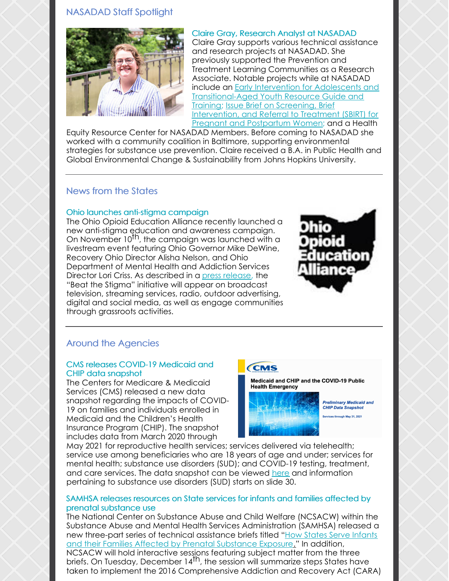## NASADAD Staff Spotlight



Claire Gray, Research Analyst at NASADAD Claire Gray supports various technical assistance and research projects at NASADAD. She previously supported the Prevention and Treatment Learning Communities as a Research Associate. Notable projects while at NASADAD include an **Early Intervention for Adolescents and** [Transitional-Aged](https://nasadad.org/2021/02/reaching-youth-at-risk-for-substance-use-and-misuse-early-intervention-resources-and-practices/) Youth Resource Guide and Training; Issue Brief on Screening, Brief [Intervention,](https://nasadad.org/2020/06/issue-brief-on-screening-brief-intervention-and-referral-to-treatment-sbirt-for-pregnant-and-postpartum-women-ppw-nasadad-amchp/) and Referral to Treatment (SBIRT) for Pregnant and Postpartum Women; and a Health

Equity Resource Center for NASADAD Members. Before coming to NASADAD she worked with a community coalition in Baltimore, supporting environmental strategies for substance use prevention. Claire received a B.A. in Public Health and Global Environmental Change & Sustainability from Johns Hopkins University.

## News from the States

#### Ohio launches anti-stigma campaign

The Ohio Opioid Education Alliance recently launched a new anti-stigma education and awareness campaign. on November 10<sup>th</sup>, the campaign was launched with a livestream event featuring Ohio Governor Mike DeWine, Recovery Ohio Director Alisha Nelson, and Ohio Department of Mental Health and Addiction Services Director Lori Criss. As described in a press [release](https://mha.ohio.gov/wps/portal/gov/mha/about-us/media-center/news/statewide-beat-the-stigma-education-awareness-campaign-launched), the "Beat the Stigma" initiative will appear on broadcast television, streaming services, radio, outdoor advertising, digital and social media, as well as engage communities through grassroots activities.



## Around the Agencies

#### CMS releases COVID-19 Medicaid and CHIP data snapshot

The Centers for Medicare & Medicaid Services (CMS) released a new data snapshot regarding the impacts of COVID-19 on families and individuals enrolled in Medicaid and the Children's Health Insurance Program (CHIP). The snapshot includes data from March 2020 through

## **CMS**

Medicaid and CHIP and the COVID-19 Public **Health Emergency** 



**Preliminary Medicaid and CHIP Data Snapshot** Services through May 31, 2021

May 2021 for reproductive health services; services delivered via telehealth; service use among beneficiaries who are 18 years of age and under; services for mental health; substance use disorders (SUD); and COVID-19 testing, treatment, and care services. The data snapshot can be viewed [here](https://www.medicaid.gov/state-resource-center/downloads/covid19-data-snapshot-11122021.pdf) and information pertaining to substance use disorders (SUD) starts on slide 30.

#### SAMHSA releases resources on State services for infants and families affected by prenatal substance use

The National Center on Substance Abuse and Child Welfare (NCSACW) within the Substance Abuse and Mental Health Services Administration (SAMHSA) released a new three-part series of technical assistance briefs titled "How States Serve Infants" and their Families Affected by Prenatal [Substance](https://ncsacw.samhsa.gov/topics/plans-of-safe-care.aspx?utm_source=SAMHSA&utm_campaign=561cef43d5-SAMHSA_Announcement_2021_11_30_1600489&utm_medium=email&utm_term=0_ee1c4b138c-561cef43d5-167785569) Exposur[e.](https://ncsacw.samhsa.gov/topics/plans-of-safe-care.aspx?utm_source=SAMHSA&utm_campaign=561cef43d5-SAMHSA_Announcement_2021_11_30_1600489&utm_medium=email&utm_term=0_ee1c4b138c-561cef43d5-167785569)" In addition, NCSACW will hold interactive sessions featuring subject matter from the three briefs. On Tuesday, December 14<sup>th</sup>, the session will summarize steps States have taken to implement the 2016 Comprehensive Addiction and Recovery Act (CARA)